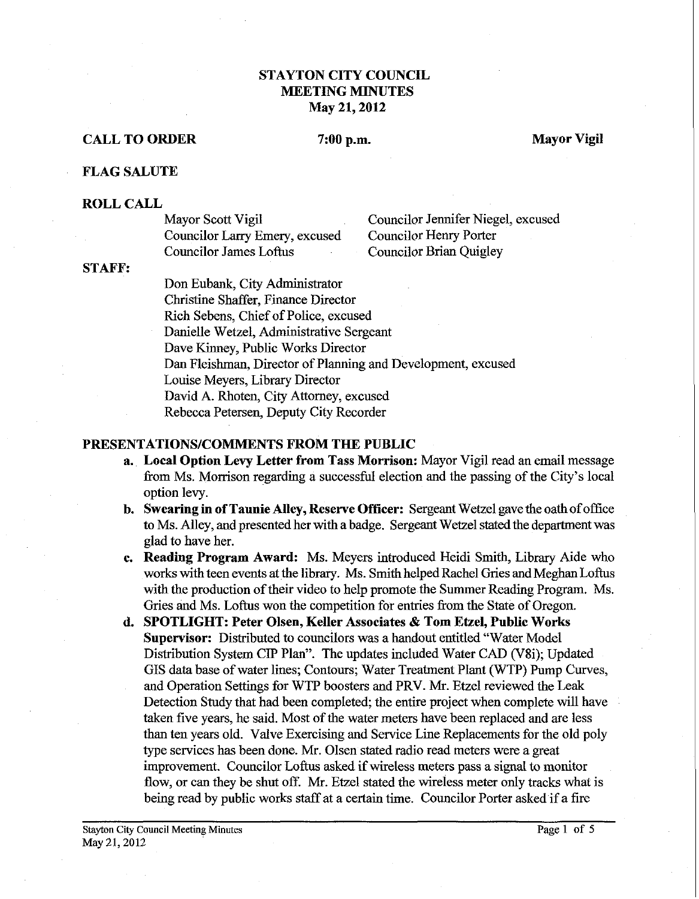# **STAYTON CITY COUNCIL MEETING MINUTES May 21,2012**

# **CALL TO ORDER**

# 7:00 p.m.

**Mayor Vigil** 

## **FLAG SALUTE**

## **ROLL CALL**

Councilor Larry Emery, excused<br>Councilor James Loftus

Mayor Scott Vigil Councilor Jennifer Niegel, excused<br>Councilor Larry Emery. excused Councilor Henry Porter Councilor Brian Quigley

#### **STAFF:**

Don Eubank, City Administrator Christine Shaffer, Finance Director Rich Sebens, Chief of Police, excused Danielle Wetzel, Administrative Sergeant Dave Kinney, Public Works Director Dan Fleishman, Director of Planning and Development, excused Louise Meyers, Library Director David A. Rhoten, City Attorney, excused Rebecca Petersen, Deputy City Recorder

## **PRESENTATIONSICOMMENTS FROM THE PUBLIC**

- **a. Local Option Levy Letter from Tass Morrison:** Mayor Vigil read an email message from Ms. Morrison regarding a successful election and the passing of the City's local option levy.
- **b. Swearing in of Taunie Alley, Reserve Officer:** Sergeant Wetzel gave the oath of office to Ms. Alley, and presented her with a badge. Sergeant Wetzel stated the department was glad to have her.
- **c. Reading Program Award:** Ms. Meyers introduced Heidi Smith, Library Aide who works with teen events at the library. Ms. Smith helped Rachel Gries and Meghan Loftus with the production of their video to help promote the Summer Reading Program. Ms. Gries and Ms. Loftus won the competition for entries from the State of Oregon.
- **d. SPOTLIGHT: Peter Olsen, Keller Associates** & **Tom Etzel, Public Works Supervisor:** Distributed to councilors was a handout entitled "Water Model Distribution System CIP Plan". The updates included Water CAD (V8i); Updated GIs data base of water lines; Contours; Water Treatment Plant (WTP) Pump Curves, and Operation Settings for WTP boosters and PRV. Mr. Etzel reviewed the Leak Detection Study that had been completed; the entire project when complete will have taken five years, he said. Most of the water meters have been replaced and are less than ten years old. Valve Exercising and Service Line Replacements for the old poly type services has been done. Mr. Olsen stated radio read meters were a great improvement. Councilor Loftus asked if wireless meters pass a signal to monitor flow, or can they be shut off. Mr. Etzel stated the wireless meter only tracks what is being read by public works staff at a certain time. Councilor Porter asked if a fire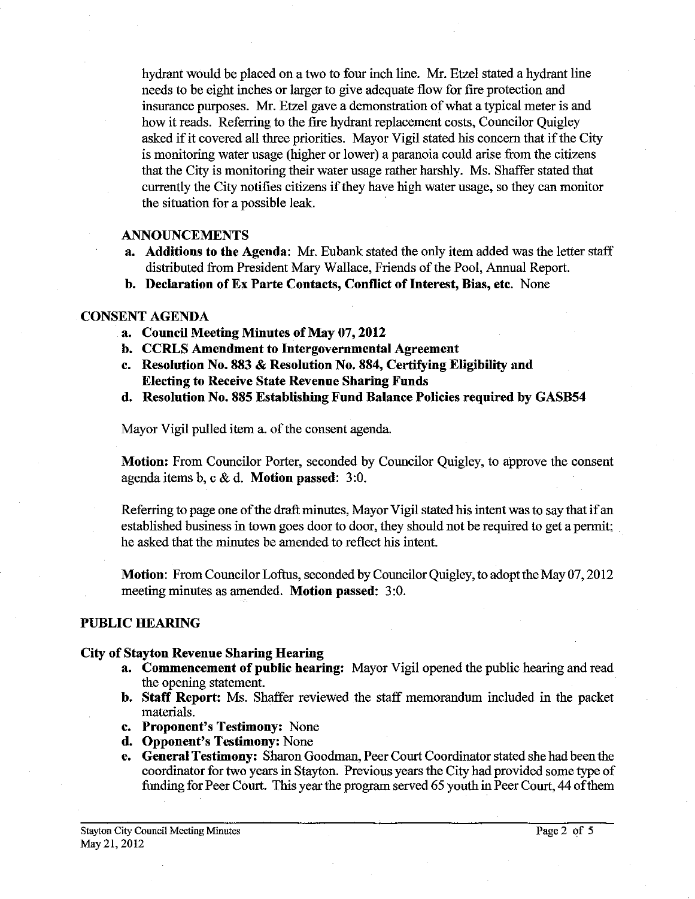hydrant would be placed on a two to four inch line. Mr. Etzel stated a hydrant line needs to be eight inches or larger to give adequate flow for fire protection and insurance purposes. Mr. Etzel gave a demonstration of what a typical meter is and how it reads. Referring to the fire hydrant replacement costs, Councilor Quigley asked if it covered all three priorities. Mayor Vigil stated his concern that if the City is monitoring water usage (higher or lower) a paranoia could arise from the citizens that the City is monitoring their water usage rather harshly. Ms. Shaffer stated that currently the City notifies citizens if they have high water usage, so they can monitor the situation for a possible leak.

### **ANNOUNCEMENTS**

- **a.** Additions to the Agenda: Mr. Eubank stated the only item added was the letter staff distributed from President Mary Wallace, Friends of the Pool, Annual Report.
- **b. Declaration of Ex Parte Contacts, Conflict of Interest, Bias, etc.** None

## **CONSENT AGENDA**

- **a. Council Meeting Minutes of May 07,2012**
- **b. CCRLS Amendment to Intergovernmental Agreement**
- **c. Resolution No. 883** & **Resolution No. 884, Certifying Eligibility and Electing to Receive State Revenue Sharing Funds**
- **d. Resolution No. 885 Establishing Fund Balance Policies required by GASB54**

Mayor Vigil pulled item a. of the consent agenda.

**Motion:** From Councilor Porter, seconded by Councilor Quigley, to approve the consent agenda items b, c & d. **Motion passed: 3:O.** 

Referring to page one of the draft minutes, Mayor Vigil stated his intent was to say that if an established business in town goes door to door, they should not be required to get a permit; he asked that the minutes be amended to reflect his intent.

**Motion:** From Councilor Loftus, seconded by Councilor Quigley, to adopt the May **07,2012**  meeting minutes **as** amended. **Motion passed: 3:O.** 

## **PUBLIC HEARING**

#### **City of Stayton Revenue Sharing Hearing**

- **a. Commencement of public hearing:** Mayor Vigil opened the public hearing and read the opening statement.
- **b. Staff Report:** Ms. Shaffer reviewed the staff memorandum included in the packet materials.
- **c. Proponent's Testimony:** None
- **d. Opponent's Testimony:** None
- **e. General Testimony:** Sharon Goodman, Peer Court Coordinator stated she had beenthe coordinator for two years in Stayton. Previous years the City had provided some type of funding for Peer Court. This year the program served *65* youth in Peer Court, 44 of them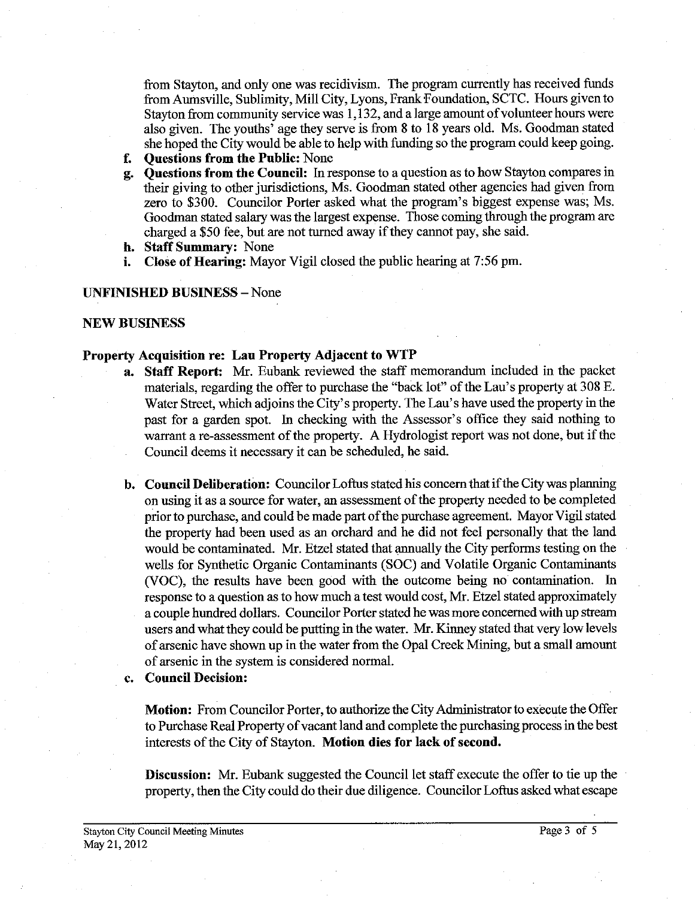fiom Stayton, and only one was recidivism. The program currently has received funds from Aumsville, Sublimity, Mill City, Lyons, FrankFoundation, SCTC. Hours given to Stayton from community service was 1,132, and a large amount of volunteer hours were also given. The youths' age they serve is from 8 to 18 years old. Ms. Goodman stated she hoped the City would be able to help with fundimg so the program could keep going.

- **f. Questions from the Public:** None
- **g. Questions from the Council: In** response to a question as to how Stayton compares in their giving to other jurisdictions, Ms. Goodman stated other agencies had given from zero to \$300. Councilor Porter asked what the program's biggest expense was; Ms. Goodman stated salary was the largest expense. Those coming through the program are charged a \$50 fee, but are not turned away if they cannot pay, she said.
- **h. Staff Summary:** None
- **i. Close of Hearing:** Mayor Vigil closed the public hearing at 7:56 pm.

#### **UNFINISHED BUSINESS** -None

### **NEW BUSINESS**

#### **Property Acquisition re: Lau Property Adjacent to WTP**

- **a. Staff Report: Mr.** Eubank reviewed the staff memorandum included in the packet materials, regarding the offer to purchase the "back lot" of the Lau's property at 308 E. Water Street, which adjoins the City's property. The Lau's have used the property in the past for a garden spot. In checking with the Assessor's office they said nothing to warrant a re-assessment of the property. A Hydrologist report was not done, but if the Council deems it necessary it can be scheduled, he said.
- **b. Council Deliberation:** Councilor Loftus stated his concern that if the City was planning on using it as a source for water, an assessment of the property needed to be completed prior to purchase, and could be made part of the purchase agreement. Mayor Vigil stated the property had been used as an orchard and he did not feel personally that the land would be contaminated. Mr. Etzel stated that annually the City perfoms testing on the wells for Synthetic Organic Contaminants (SOC) and Volatile Organic Contaminants (VOC), the results have been good with the outcome being no contamination. In response to a question as to how much a test would cost, Mr. Etzel stated approximately a couple hundred dollars. Councilor Porter stated he was more concerned with up stream users and what they could be putting in the water. Mr. Kinney stated that very low levels of arsenic have shown up in the water from the Opal Creek Mining, but a small amount of arsenic in the system is considered normal.
- **c. Council Decision:**

**Motion:** From Councilor Porter. to authorize the City Administrator to execute the Offer to Purchase Real Property of vacant land and complete the purchasing process in the best interests of the City of Stayton. **Motion dies for lack of second.** 

**Discussion:** Mr. Eubank suggested the Council let staff execute the offer to tie up the property, then the City could do their due diligence. Councilor Loftus asked what escape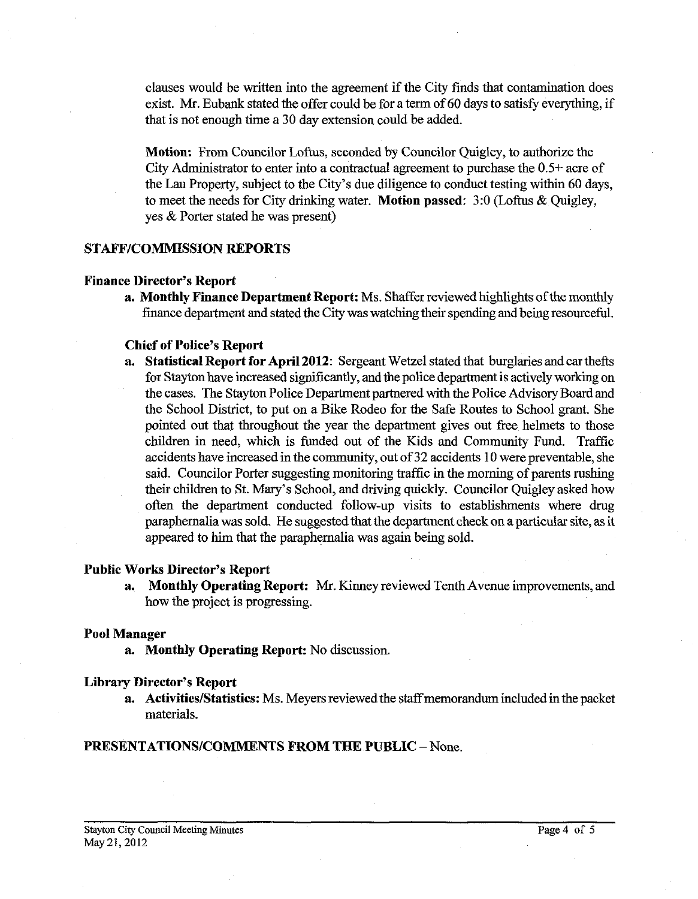clauses would be written into the agreement if the City finds that contamination does exist. Mr. Eubank stated the offer could be for a term of 60 days to satisfy everything, if that is not enough time a 30 day extension could be added.

Motion: From Councilor Loftus, seconded by Councilor Quigley, to authorize the City Administrator to enter into a contractual agreement to purchase the 0.5+ acre of the Lau Property, subject to the City's due diligence to conduct testing within 60 days, to meet the needs for City drinking water. Motion passed: 3:O (Loftus & Quigley, yes & Porter stated he was present)

## STAFF/COMMISSION REPORTS

### Finance Director's Report

a. Monthly Finance Department Report: Ms. Shaffer reviewed highlights of the monthly finance department and stated the City was watching their spending and being resourceful.

### Chief of Police's Report

a. Statistical Report for April 2012: Sergeant Wetzel stated that burglaries and car thefts for Stayton have increased significantly, and the police department is actively working on the cases. The Stayton Police Department partnered with the Police Advisory Board and the School District, to put on a Bike Rodeo for the Safe Routes to School grant. She pointed out that throughout the year the department gives out free helmets to those children in need, which is funded out of the Kids and Community Fund. Traffic accidents have increased in the community, out of 32 accidents 10 were preventable, she said. Councilor Porter suggesting monitoring traffic in the morning of parents rushing their children to St. Mary's School, and driving quickly. Councilor Quigley asked how often the department conducted follow-up visits to establishments where drug paraphernalia was sold. He suggested that the department check on a particular site, as it appeared to him that the paraphernalia was again being sold.

### Public Works Director's Report

a. Monthly Operating Report: Mr. Kinney reviewed Tenth Avenue improvements, and how the project is progressing.

## Pool Manager

a. Monthly Operating Report. No discussion.

#### Library Director's Report

a. Activities/Statistics: Ms. Meyers reviewed the staff memorandum included in the packet materials.

## PRESENTATIONS/COMMENTS FROM THE PUBLIC - None.